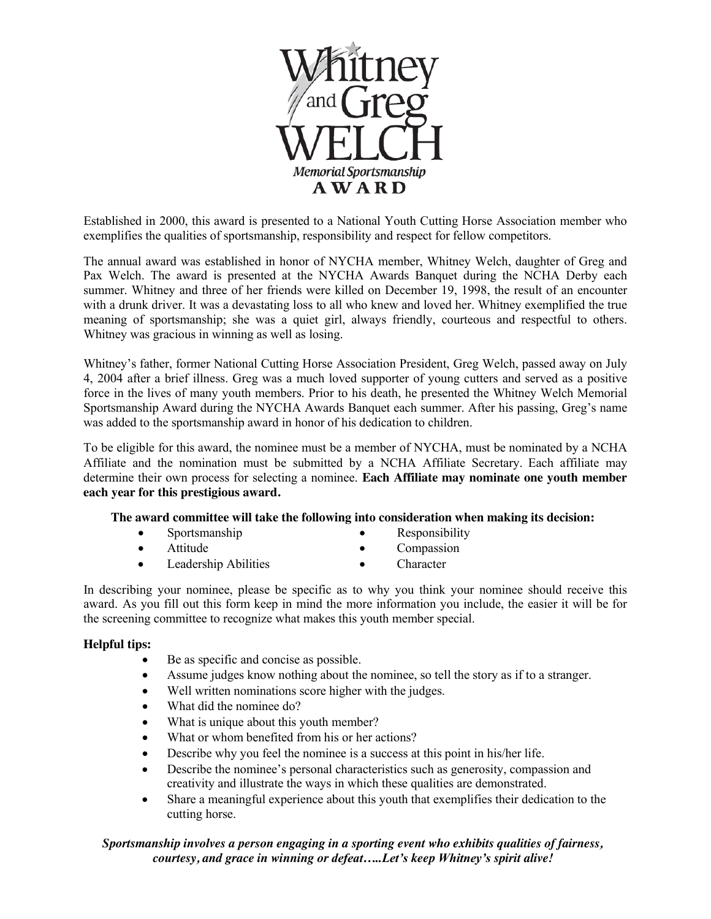

Established in 2000, this award is presented to a National Youth Cutting Horse Association member who exemplifies the qualities of sportsmanship, responsibility and respect for fellow competitors.

The annual award was established in honor of NYCHA member, Whitney Welch, daughter of Greg and Pax Welch. The award is presented at the NYCHA Awards Banquet during the NCHA Derby each summer. Whitney and three of her friends were killed on December 19, 1998, the result of an encounter with a drunk driver. It was a devastating loss to all who knew and loved her. Whitney exemplified the true meaning of sportsmanship; she was a quiet girl, always friendly, courteous and respectful to others. Whitney was gracious in winning as well as losing.

Whitney's father, former National Cutting Horse Association President, Greg Welch, passed away on July 4, 2004 after a brief illness. Greg was a much loved supporter of young cutters and served as a positive force in the lives of many youth members. Prior to his death, he presented the Whitney Welch Memorial Sportsmanship Award during the NYCHA Awards Banquet each summer. After his passing, Greg's name was added to the sportsmanship award in honor of his dedication to children.

To be eligible for this award, the nominee must be a member of NYCHA, must be nominated by a NCHA Affiliate and the nomination must be submitted by a NCHA Affiliate Secretary. Each affiliate may determine their own process for selecting a nominee. **Each Affiliate may nominate one youth member each year for this prestigious award.**

#### **The award committee will take the following into consideration when making its decision:**

- $\bullet$  Sportsmanship **Responsibility**
- Attitude
- Compassion
- Leadership Abilities
- Character

In describing your nominee, please be specific as to why you think your nominee should receive this award. As you fill out this form keep in mind the more information you include, the easier it will be for the screening committee to recognize what makes this youth member special.

## **Helpful tips:**

- $\bullet$  Be as specific and concise as possible.
- Assume judges know nothing about the nominee, so tell the story as if to a stranger.
- Well written nominations score higher with the judges.
- What did the nominee do?
- What is unique about this youth member?
- What or whom benefited from his or her actions?
- $\bullet$  Describe why you feel the nominee is a success at this point in his/her life.
- Describe the nominee's personal characteristics such as generosity, compassion and creativity and illustrate the ways in which these qualities are demonstrated.
- Share a meaningful experience about this youth that exemplifies their dedication to the cutting horse.

## *Sportsmanship involves a person engaging in a sporting event who exhibits qualities of fairness, courtesy, and grace in winning or defeat…..Let's keep Whitney's spirit alive!*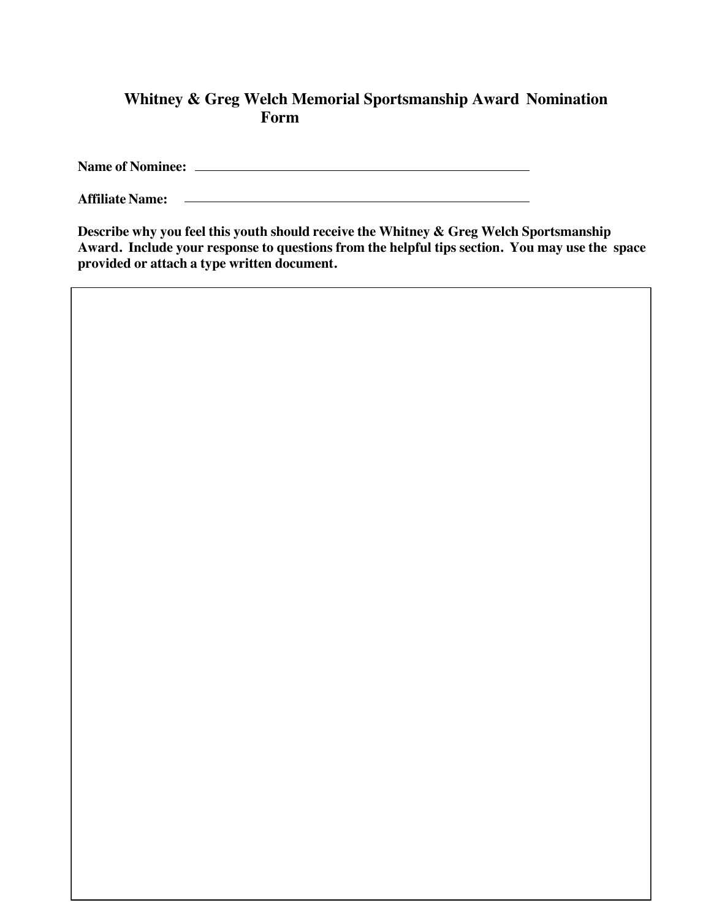# **Whitney & Greg Welch Memorial Sportsmanship Award Nomination Form**

**Name of Nominee:**

<u> 1980 - Johann Barbara, martxa amerikan personal (h. 1980).</u> **Affiliate Name:**

**Describe why you feel this youth should receive the Whitney & Greg Welch Sportsmanship Award. Include your response to questions from the helpful tips section. You may use the space provided or attach a type written document.**